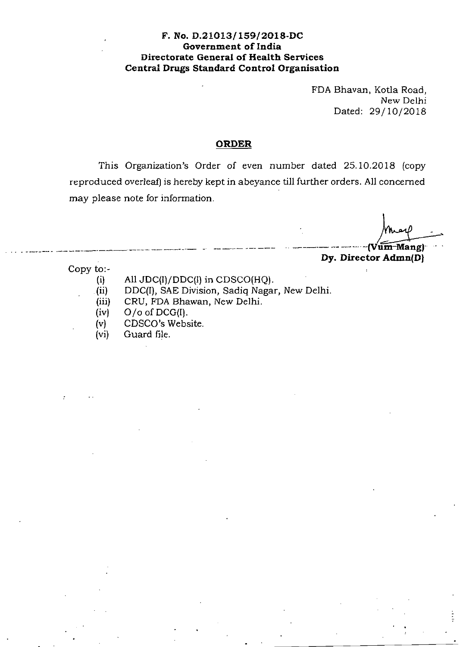## **F. No. D.21013/ 159/2018-DC Government of India Directorate General of Health Services Central Drugs Standard Control Organisation**

FDA Bhavan, Kotla Road, New Delhi Dated: 29/10/2018

## **ORDER**

This Organization's Order of even number dated 25.10.2018 (copy reproduced overleaf) is hereby kept in abeyance till further orders. All concerned may please note for information.

.. - ----· ·-----~------------- - ---·-- --- --- -· ----- . -- --· **-(Vum-Mang)·**  concerned<br>may - ·

**Dy. Director Admn(D)** 

Copy to:-

- (i) All JDC(I)/DDC(I) in CDSCO(HQ).
- . (ii) DDC(I), SAE Division, Sadiq Nagar, New Delhi.
- (iii) CRU, FDA Bhawan, New Delhi.
- (iv) 0 *Io* of DCG(I).
- (v) CDSCO's Website.
- (vi) Guard file.